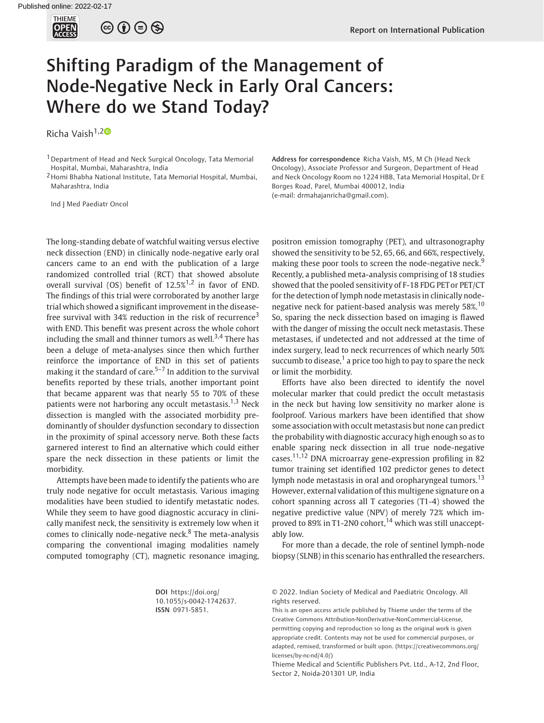

 $\circledcirc \circ \circ \circ$ 

## Shifting Paradigm of the Management of Node-Negative Neck in Early Oral Cancers: Where do we Stand Today?

Richa Vaish<sup>1,[2](https://orcid.org/0000-0002-3384-9380)0</sup>

1Department of Head and Neck Surgical Oncology, Tata Memorial Hospital, Mumbai, Maharashtra, India

2Homi Bhabha National Institute, Tata Memorial Hospital, Mumbai, Maharashtra, India

Ind J Med Paediatr Oncol

The long-standing debate of watchful waiting versus elective neck dissection (END) in clinically node-negative early oral cancers came to an end with the publication of a large randomized controlled trial (RCT) that showed absolute overall survival (OS) benefit of  $12.5\%^{1,2}$  in favor of END. The findings of this trial were corroborated by another large trial which showed a significant improvement in the diseasefree survival with  $34\%$  reduction in the risk of recurrence<sup>3</sup> with END. This benefit was present across the whole cohort including the small and thinner tumors as well.<sup>3,4</sup> There has been a deluge of meta-analyses since then which further reinforce the importance of END in this set of patients making it the standard of care. $5-7$  In addition to the survival benefits reported by these trials, another important point that became apparent was that nearly 55 to 70% of these patients were not harboring any occult metastasis.<sup>1,3</sup> Neck dissection is mangled with the associated morbidity predominantly of shoulder dysfunction secondary to dissection in the proximity of spinal accessory nerve. Both these facts garnered interest to find an alternative which could either spare the neck dissection in these patients or limit the morbidity.

Attempts have been made to identify the patients who are truly node negative for occult metastasis. Various imaging modalities have been studied to identify metastatic nodes. While they seem to have good diagnostic accuracy in clinically manifest neck, the sensitivity is extremely low when it comes to clinically node-negative neck. $8$  The meta-analysis comparing the conventional imaging modalities namely computed tomography (CT), magnetic resonance imaging, Address for correspondence Richa Vaish, MS, M Ch (Head Neck Oncology), Associate Professor and Surgeon, Department of Head and Neck Oncology Room no 1224 HBB, Tata Memorial Hospital, Dr E Borges Road, Parel, Mumbai 400012, India (e-mail: [drmahajanricha@gmail.com](mailto:drmahajanricha@gmail.com)).

positron emission tomography (PET), and ultrasonography showed the sensitivity to be 52, 65, 66, and 66%, respectively, making these poor tools to screen the node-negative neck.<sup>9</sup> Recently, a published meta-analysis comprising of 18 studies showed that the pooled sensitivity of F-18 FDG PET or PET/CT for the detection of lymph node metastasis in clinically nodenegative neck for patient-based analysis was merely 58%.<sup>10</sup> So, sparing the neck dissection based on imaging is flawed with the danger of missing the occult neck metastasis. These metastases, if undetected and not addressed at the time of index surgery, lead to neck recurrences of which nearly 50% succumb to disease, $1$  a price too high to pay to spare the neck or limit the morbidity.

Efforts have also been directed to identify the novel molecular marker that could predict the occult metastasis in the neck but having low sensitivity no marker alone is foolproof. Various markers have been identified that show some association with occult metastasis but none can predict the probability with diagnostic accuracy high enough so as to enable sparing neck dissection in all true node-negative cases.11,12 DNA microarray gene-expression profiling in 82 tumor training set identified 102 predictor genes to detect lymph node metastasis in oral and oropharyngeal tumors.<sup>13</sup> However, external validation of this multigene signature on a cohort spanning across all T categories (T1-4) showed the negative predictive value (NPV) of merely 72% which improved to  $89\%$  in T1-2N0 cohort,<sup>14</sup> which was still unacceptably low.

For more than a decade, the role of sentinel lymph-node biopsy (SLNB) in this scenario has enthralled the researchers.

DOI [https://doi.org/](https://doi.org/10.1055/s-0042-1742637) [10.1055/s-0042-1742637](https://doi.org/10.1055/s-0042-1742637). ISSN 0971-5851.

© 2022. Indian Society of Medical and Paediatric Oncology. All rights reserved.

This is an open access article published by Thieme under the terms of the Creative Commons Attribution-NonDerivative-NonCommercial-License, permitting copying and reproduction so long as the original work is given appropriate credit. Contents may not be used for commercial purposes, or adapted, remixed, transformed or built upon. (https://creativecommons.org/ licenses/by-nc-nd/4.0/)

Thieme Medical and Scientific Publishers Pvt. Ltd., A-12, 2nd Floor, Sector 2, Noida-201301 UP, India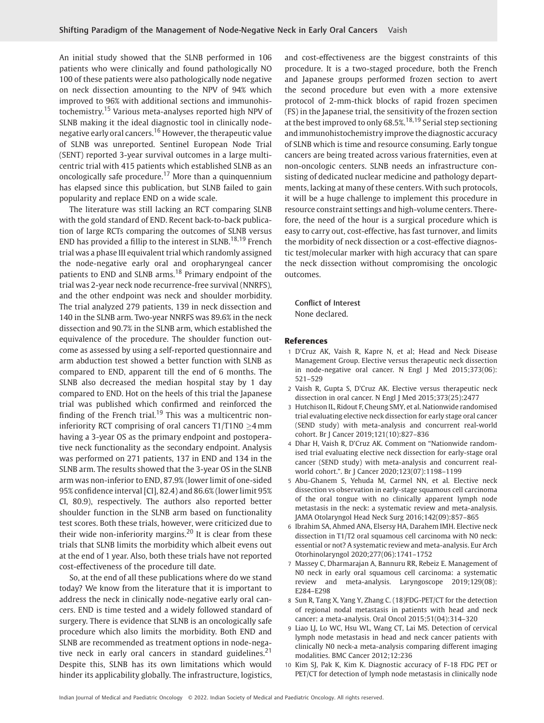An initial study showed that the SLNB performed in 106 patients who were clinically and found pathologically NO 100 of these patients were also pathologically node negative on neck dissection amounting to the NPV of 94% which improved to 96% with additional sections and immunohistochemistry.<sup>15</sup> Various meta-analyses reported high NPV of SLNB making it the ideal diagnostic tool in clinically nodenegative early oral cancers.<sup>16</sup> However, the therapeutic value of SLNB was unreported. Sentinel European Node Trial (SENT) reported 3-year survival outcomes in a large multicentric trial with 415 patients which established SLNB as an oncologically safe procedure.<sup>17</sup> More than a quinquennium has elapsed since this publication, but SLNB failed to gain popularity and replace END on a wide scale.

The literature was still lacking an RCT comparing SLNB with the gold standard of END. Recent back-to-back publication of large RCTs comparing the outcomes of SLNB versus END has provided a fillip to the interest in  $SLNB$ <sup>18,19</sup> French trial was a phase III equivalent trial which randomly assigned the node-negative early oral and oropharyngeal cancer patients to END and SLNB arms.<sup>18</sup> Primary endpoint of the trial was 2-year neck node recurrence-free survival (NNRFS), and the other endpoint was neck and shoulder morbidity. The trial analyzed 279 patients, 139 in neck dissection and 140 in the SLNB arm. Two-year NNRFS was 89.6% in the neck dissection and 90.7% in the SLNB arm, which established the equivalence of the procedure. The shoulder function outcome as assessed by using a self-reported questionnaire and arm abduction test showed a better function with SLNB as compared to END, apparent till the end of 6 months. The SLNB also decreased the median hospital stay by 1 day compared to END. Hot on the heels of this trial the Japanese trial was published which confirmed and reinforced the finding of the French trial.<sup>19</sup> This was a multicentric noninferiority RCT comprising of oral cancers T1/T1N0  $\geq$ 4 mm having a 3-year OS as the primary endpoint and postoperative neck functionality as the secondary endpoint. Analysis was performed on 271 patients, 137 in END and 134 in the SLNB arm. The results showed that the 3-year OS in the SLNB arm was non-inferior to END, 87.9% (lower limit of one-sided 95% confidence interval [CI], 82.4) and 86.6% (lower limit 95% CI, 80.9), respectively. The authors also reported better shoulder function in the SLNB arm based on functionality test scores. Both these trials, however, were criticized due to their wide non-inferiority margins.<sup>20</sup> It is clear from these trials that SLNB limits the morbidity which albeit evens out at the end of 1 year. Also, both these trials have not reported cost-effectiveness of the procedure till date.

So, at the end of all these publications where do we stand today? We know from the literature that it is important to address the neck in clinically node-negative early oral cancers. END is time tested and a widely followed standard of surgery. There is evidence that SLNB is an oncologically safe procedure which also limits the morbidity. Both END and SLNB are recommended as treatment options in node-negative neck in early oral cancers in standard guidelines.<sup>21</sup> Despite this, SLNB has its own limitations which would hinder its applicability globally. The infrastructure, logistics,

and cost-effectiveness are the biggest constraints of this procedure. It is a two-staged procedure, both the French and Japanese groups performed frozen section to avert the second procedure but even with a more extensive protocol of 2-mm-thick blocks of rapid frozen specimen (FS) in the Japanese trial, the sensitivity of the frozen section at the best improved to only  $68.5\%$ <sup>18,19</sup> Serial step sectioning and immunohistochemistry improve the diagnostic accuracy of SLNB which is time and resource consuming. Early tongue cancers are being treated across various fraternities, even at non-oncologic centers. SLNB needs an infrastructure consisting of dedicated nuclear medicine and pathology departments, lacking at many of these centers. With such protocols, it will be a huge challenge to implement this procedure in resource constraint settings and high-volume centers. Therefore, the need of the hour is a surgical procedure which is easy to carry out, cost-effective, has fast turnover, and limits the morbidity of neck dissection or a cost-effective diagnostic test/molecular marker with high accuracy that can spare the neck dissection without compromising the oncologic outcomes.

Conflict of Interest None declared.

## References

- 1 D'Cruz AK, Vaish R, Kapre N, et al; Head and Neck Disease Management Group. Elective versus therapeutic neck dissection in node-negative oral cancer. N Engl J Med 2015;373(06): 521–529
- 2 Vaish R, Gupta S, D'Cruz AK. Elective versus therapeutic neck dissection in oral cancer. N Engl J Med 2015;373(25):2477
- 3 Hutchison IL, Ridout F, Cheung SMY, et al. Nationwide randomised trial evaluating elective neck dissection for early stage oral cancer (SEND study) with meta-analysis and concurrent real-world cohort. Br J Cancer 2019;121(10):827–836
- 4 Dhar H, Vaish R, D'Cruz AK. Comment on "Nationwide randomised trial evaluating elective neck dissection for early-stage oral cancer (SEND study) with meta-analysis and concurrent realworld cohort.". Br J Cancer 2020;123(07):1198–1199
- 5 Abu-Ghanem S, Yehuda M, Carmel NN, et al. Elective neck dissection vs observation in early-stage squamous cell carcinoma of the oral tongue with no clinically apparent lymph node metastasis in the neck: a systematic review and meta-analysis. JAMA Otolaryngol Head Neck Surg 2016;142(09):857–865
- 6 Ibrahim SA, Ahmed ANA, Elsersy HA, Darahem IMH. Elective neck dissection in T1/T2 oral squamous cell carcinoma with N0 neck: essential or not? A systematic review and meta-analysis. Eur Arch Otorhinolaryngol 2020;277(06):1741–1752
- 7 Massey C, Dharmarajan A, Bannuru RR, Rebeiz E. Management of N0 neck in early oral squamous cell carcinoma: a systematic review and meta-analysis. Laryngoscope 2019;129(08): E284–E298
- 8 Sun R, Tang X, Yang Y, Zhang C. (18)FDG-PET/CT for the detection of regional nodal metastasis in patients with head and neck cancer: a meta-analysis. Oral Oncol 2015;51(04):314–320
- 9 Liao LJ, Lo WC, Hsu WL, Wang CT, Lai MS. Detection of cervical lymph node metastasis in head and neck cancer patients with clinically N0 neck-a meta-analysis comparing different imaging modalities. BMC Cancer 2012;12:236
- 10 Kim SJ, Pak K, Kim K. Diagnostic accuracy of F-18 FDG PET or PET/CT for detection of lymph node metastasis in clinically node